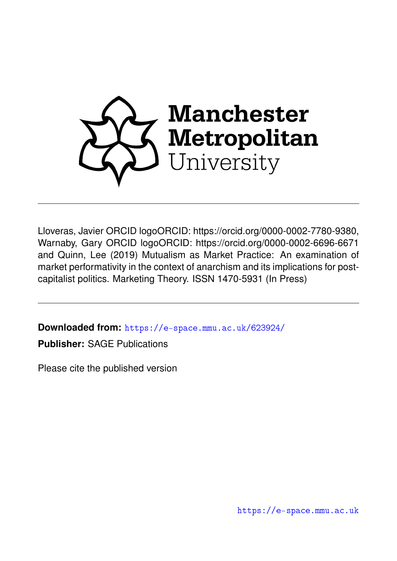

Lloveras, Javier ORCID logoORCID: https://orcid.org/0000-0002-7780-9380, Warnaby, Gary ORCID logoORCID: https://orcid.org/0000-0002-6696-6671 and Quinn, Lee (2019) Mutualism as Market Practice: An examination of market performativity in the context of anarchism and its implications for postcapitalist politics. Marketing Theory. ISSN 1470-5931 (In Press)

**Downloaded from:** <https://e-space.mmu.ac.uk/623924/>

**Publisher:** SAGE Publications

Please cite the published version

<https://e-space.mmu.ac.uk>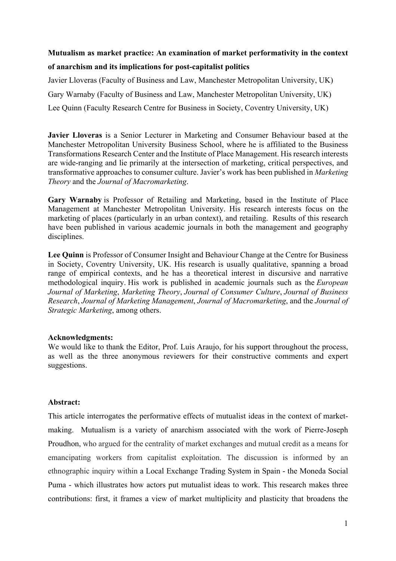# **Mutualism as market practice: An examination of market performativity in the context of anarchism and its implications for post-capitalist politics**

Javier Lloveras (Faculty of Business and Law, Manchester Metropolitan University, UK) Gary Warnaby (Faculty of Business and Law, Manchester Metropolitan University, UK) Lee Quinn (Faculty Research Centre for Business in Society, Coventry University, UK)

**Javier Lloveras** is a Senior Lecturer in Marketing and Consumer Behaviour based at the Manchester Metropolitan University Business School, where he is affiliated to the Business Transformations Research Center and the Institute of Place Management. His research interests are wide-ranging and lie primarily at the intersection of marketing, critical perspectives, and transformative approaches to consumer culture. Javier's work has been published in *Marketing Theory* and the *Journal of Macromarketing*.

**Gary Warnaby** is Professor of Retailing and Marketing, based in the Institute of Place Management at Manchester Metropolitan University. His research interests focus on the marketing of places (particularly in an urban context), and retailing. Results of this research have been published in various academic journals in both the management and geography disciplines.

**Lee Quinn** is Professor of Consumer Insight and Behaviour Change at the Centre for Business in Society, Coventry University, UK. His research is usually qualitative, spanning a broad range of empirical contexts, and he has a theoretical interest in discursive and narrative methodological inquiry. His work is published in academic journals such as the *European Journal of Marketing*, *Marketing Theory*, *Journal of Consumer Culture*, *Journal of Business Research*, *Journal of Marketing Management*, *Journal of Macromarketing*, and the *Journal of Strategic Marketing*, among others.

### **Acknowledgments:**

We would like to thank the Editor, Prof. Luis Araujo, for his support throughout the process, as well as the three anonymous reviewers for their constructive comments and expert suggestions.

### **Abstract:**

This article interrogates the performative effects of mutualist ideas in the context of marketmaking. Mutualism is a variety of anarchism associated with the work of Pierre-Joseph Proudhon, who argued for the centrality of market exchanges and mutual credit as a means for emancipating workers from capitalist exploitation. The discussion is informed by an ethnographic inquiry within a Local Exchange Trading System in Spain - the Moneda Social Puma - which illustrates how actors put mutualist ideas to work. This research makes three contributions: first, it frames a view of market multiplicity and plasticity that broadens the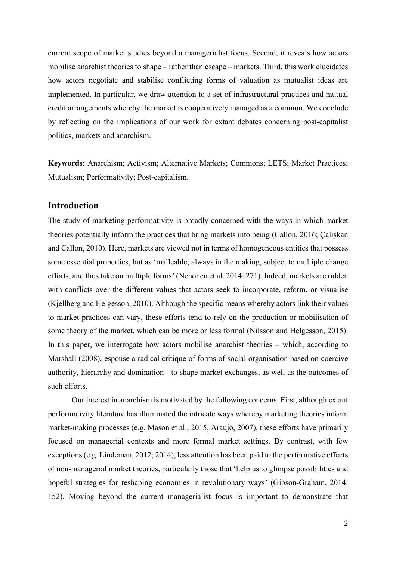current scope of market studies beyond a managerialist focus. Second, it reveals how actors mobilise anarchist theories to shape – rather than escape – markets. Third, this work elucidates how actors negotiate and stabilise conflicting forms of valuation as mutualist ideas are implemented. In particular, we draw attention to a set of infrastructural practices and mutual credit arrangements whereby the market is cooperatively managed as a common. We conclude by reflecting on the implications of our work for extant debates concerning post-capitalist politics, markets and anarchism.

**Keywords:** Anarchism; Activism; Alternative Markets; Commons; LETS; Market Practices; Mutualism; Performativity; Post-capitalism.

### **Introduction**

The study of marketing performativity is broadly concerned with the ways in which market theories potentially inform the practices that bring markets into being (Callon, 2016; Çalışkan and Callon, 2010). Here, markets are viewed not in terms of homogeneous entities that possess some essential properties, but as 'malleable, always in the making, subject to multiple change efforts, and thus take on multiple forms' (Nenonen et al. 2014: 271). Indeed, markets are ridden with conflicts over the different values that actors seek to incorporate, reform, or visualise (Kjellberg and Helgesson, 2010). Although the specific means whereby actors link their values to market practices can vary, these efforts tend to rely on the production or mobilisation of some theory of the market, which can be more or less formal (Nilsson and Helgesson, 2015). In this paper, we interrogate how actors mobilise anarchist theories – which, according to Marshall (2008), espouse a radical critique of forms of social organisation based on coercive authority, hierarchy and domination - to shape market exchanges, as well as the outcomes of such efforts.

Our interest in anarchism is motivated by the following concerns. First, although extant performativity literature has illuminated the intricate ways whereby marketing theories inform market-making processes (e.g. Mason et al., 2015, Araujo, 2007), these efforts have primarily focused on managerial contexts and more formal market settings. By contrast, with few exceptions (e.g. Lindeman, 2012; 2014), less attention has been paid to the performative effects of non-managerial market theories, particularly those that 'help us to glimpse possibilities and hopeful strategies for reshaping economies in revolutionary ways' (Gibson-Graham, 2014: 152). Moving beyond the current managerialist focus is important to demonstrate that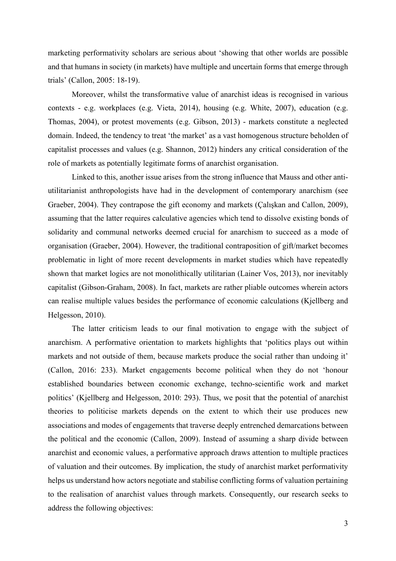marketing performativity scholars are serious about 'showing that other worlds are possible and that humans in society (in markets) have multiple and uncertain forms that emerge through trials' (Callon, 2005: 18-19).

Moreover, whilst the transformative value of anarchist ideas is recognised in various contexts - e.g. workplaces (e.g. Vieta, 2014), housing (e.g. White, 2007), education (e.g. Thomas, 2004), or protest movements (e.g. Gibson, 2013) - markets constitute a neglected domain. Indeed, the tendency to treat 'the market' as a vast homogenous structure beholden of capitalist processes and values (e.g. Shannon, 2012) hinders any critical consideration of the role of markets as potentially legitimate forms of anarchist organisation.

Linked to this, another issue arises from the strong influence that Mauss and other antiutilitarianist anthropologists have had in the development of contemporary anarchism (see Graeber, 2004). They contrapose the gift economy and markets (Çalışkan and Callon, 2009), assuming that the latter requires calculative agencies which tend to dissolve existing bonds of solidarity and communal networks deemed crucial for anarchism to succeed as a mode of organisation (Graeber, 2004). However, the traditional contraposition of gift/market becomes problematic in light of more recent developments in market studies which have repeatedly shown that market logics are not monolithically utilitarian (Lainer Vos, 2013), nor inevitably capitalist (Gibson-Graham, 2008). In fact, markets are rather pliable outcomes wherein actors can realise multiple values besides the performance of economic calculations (Kjellberg and Helgesson, 2010).

The latter criticism leads to our final motivation to engage with the subject of anarchism. A performative orientation to markets highlights that 'politics plays out within markets and not outside of them, because markets produce the social rather than undoing it' (Callon, 2016: 233). Market engagements become political when they do not 'honour established boundaries between economic exchange, techno-scientific work and market politics' (Kjellberg and Helgesson, 2010: 293). Thus, we posit that the potential of anarchist theories to politicise markets depends on the extent to which their use produces new associations and modes of engagements that traverse deeply entrenched demarcations between the political and the economic (Callon, 2009). Instead of assuming a sharp divide between anarchist and economic values, a performative approach draws attention to multiple practices of valuation and their outcomes. By implication, the study of anarchist market performativity helps us understand how actors negotiate and stabilise conflicting forms of valuation pertaining to the realisation of anarchist values through markets. Consequently, our research seeks to address the following objectives: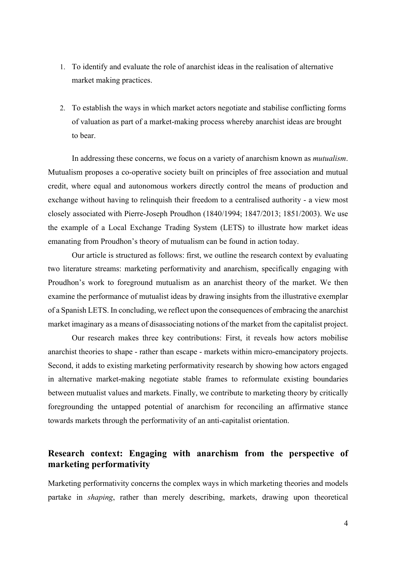- 1. To identify and evaluate the role of anarchist ideas in the realisation of alternative market making practices.
- 2. To establish the ways in which market actors negotiate and stabilise conflicting forms of valuation as part of a market-making process whereby anarchist ideas are brought to bear.

In addressing these concerns, we focus on a variety of anarchism known as *mutualism*. Mutualism proposes a co-operative society built on principles of free association and mutual credit, where equal and autonomous workers directly control the means of production and exchange without having to relinquish their freedom to a centralised authority - a view most closely associated with Pierre-Joseph Proudhon (1840/1994; 1847/2013; 1851/2003). We use the example of a Local Exchange Trading System (LETS) to illustrate how market ideas emanating from Proudhon's theory of mutualism can be found in action today.

Our article is structured as follows: first, we outline the research context by evaluating two literature streams: marketing performativity and anarchism, specifically engaging with Proudhon's work to foreground mutualism as an anarchist theory of the market. We then examine the performance of mutualist ideas by drawing insights from the illustrative exemplar of a Spanish LETS. In concluding, we reflect upon the consequences of embracing the anarchist market imaginary as a means of disassociating notions of the market from the capitalist project.

Our research makes three key contributions: First, it reveals how actors mobilise anarchist theories to shape - rather than escape - markets within micro-emancipatory projects. Second, it adds to existing marketing performativity research by showing how actors engaged in alternative market-making negotiate stable frames to reformulate existing boundaries between mutualist values and markets. Finally, we contribute to marketing theory by critically foregrounding the untapped potential of anarchism for reconciling an affirmative stance towards markets through the performativity of an anti-capitalist orientation.

## **Research context: Engaging with anarchism from the perspective of marketing performativity**

Marketing performativity concerns the complex ways in which marketing theories and models partake in *shaping*, rather than merely describing, markets, drawing upon theoretical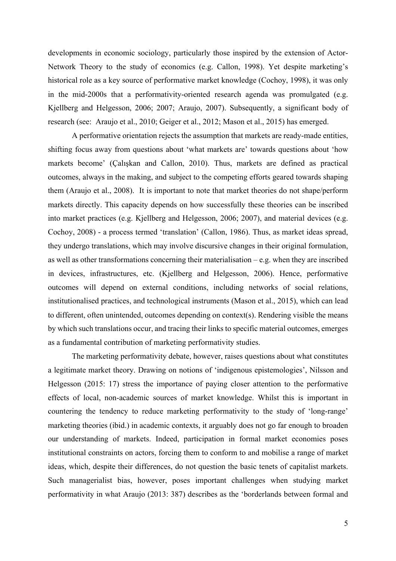developments in economic sociology, particularly those inspired by the extension of Actor-Network Theory to the study of economics (e.g. Callon, 1998). Yet despite marketing's historical role as a key source of performative market knowledge (Cochoy, 1998), it was only in the mid-2000s that a performativity-oriented research agenda was promulgated (e.g. Kjellberg and Helgesson, 2006; 2007; Araujo, 2007). Subsequently, a significant body of research (see: Araujo et al., 2010; Geiger et al., 2012; Mason et al., 2015) has emerged.

A performative orientation rejects the assumption that markets are ready-made entities, shifting focus away from questions about 'what markets are' towards questions about 'how markets become' (Çalışkan and Callon, 2010). Thus, markets are defined as practical outcomes, always in the making, and subject to the competing efforts geared towards shaping them (Araujo et al., 2008). It is important to note that market theories do not shape/perform markets directly. This capacity depends on how successfully these theories can be inscribed into market practices (e.g. Kjellberg and Helgesson, 2006; 2007), and material devices (e.g. Cochoy, 2008) - a process termed 'translation' (Callon, 1986). Thus, as market ideas spread, they undergo translations, which may involve discursive changes in their original formulation, as well as other transformations concerning their materialisation – e.g. when they are inscribed in devices, infrastructures, etc. (Kjellberg and Helgesson, 2006). Hence, performative outcomes will depend on external conditions, including networks of social relations, institutionalised practices, and technological instruments (Mason et al., 2015), which can lead to different, often unintended, outcomes depending on context(s). Rendering visible the means by which such translations occur, and tracing their links to specific material outcomes, emerges as a fundamental contribution of marketing performativity studies.

The marketing performativity debate, however, raises questions about what constitutes a legitimate market theory. Drawing on notions of 'indigenous epistemologies', Nilsson and Helgesson (2015: 17) stress the importance of paying closer attention to the performative effects of local, non-academic sources of market knowledge. Whilst this is important in countering the tendency to reduce marketing performativity to the study of 'long-range' marketing theories (ibid.) in academic contexts, it arguably does not go far enough to broaden our understanding of markets. Indeed, participation in formal market economies poses institutional constraints on actors, forcing them to conform to and mobilise a range of market ideas, which, despite their differences, do not question the basic tenets of capitalist markets. Such managerialist bias, however, poses important challenges when studying market performativity in what Araujo (2013: 387) describes as the 'borderlands between formal and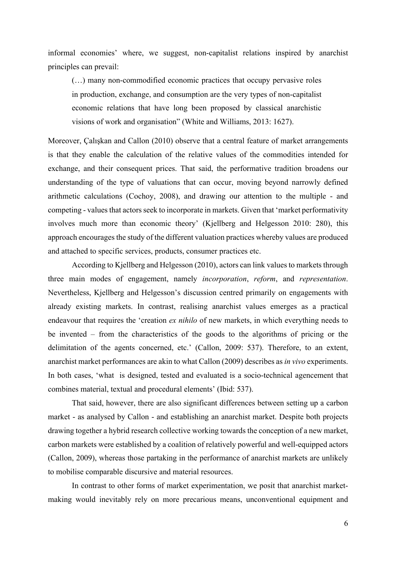informal economies' where, we suggest, non-capitalist relations inspired by anarchist principles can prevail:

(…) many non-commodified economic practices that occupy pervasive roles in production, exchange, and consumption are the very types of non-capitalist economic relations that have long been proposed by classical anarchistic visions of work and organisation" (White and Williams, 2013: 1627).

Moreover, Çalışkan and Callon (2010) observe that a central feature of market arrangements is that they enable the calculation of the relative values of the commodities intended for exchange, and their consequent prices. That said, the performative tradition broadens our understanding of the type of valuations that can occur, moving beyond narrowly defined arithmetic calculations (Cochoy, 2008), and drawing our attention to the multiple - and competing - values that actors seek to incorporate in markets. Given that 'market performativity involves much more than economic theory' (Kjellberg and Helgesson 2010: 280), this approach encourages the study of the different valuation practices whereby values are produced and attached to specific services, products, consumer practices etc.

According to Kjellberg and Helgesson (2010), actors can link values to markets through three main modes of engagement, namely *incorporation*, *reform*, and *representation*. Nevertheless, Kjellberg and Helgesson's discussion centred primarily on engagements with already existing markets. In contrast, realising anarchist values emerges as a practical endeavour that requires the 'creation *ex nihilo* of new markets, in which everything needs to be invented – from the characteristics of the goods to the algorithms of pricing or the delimitation of the agents concerned, etc.' (Callon, 2009: 537). Therefore, to an extent, anarchist market performances are akin to what Callon (2009) describes as *in vivo* experiments. In both cases, 'what is designed, tested and evaluated is a socio-technical agencement that combines material, textual and procedural elements' (Ibid: 537).

That said, however, there are also significant differences between setting up a carbon market - as analysed by Callon - and establishing an anarchist market. Despite both projects drawing together a hybrid research collective working towards the conception of a new market, carbon markets were established by a coalition of relatively powerful and well-equipped actors (Callon, 2009), whereas those partaking in the performance of anarchist markets are unlikely to mobilise comparable discursive and material resources.

In contrast to other forms of market experimentation, we posit that anarchist marketmaking would inevitably rely on more precarious means, unconventional equipment and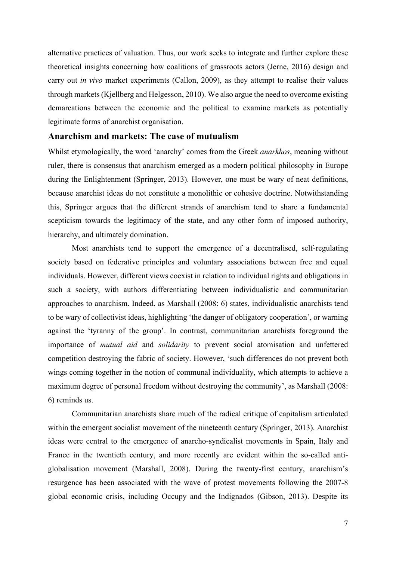alternative practices of valuation. Thus, our work seeks to integrate and further explore these theoretical insights concerning how coalitions of grassroots actors (Jerne, 2016) design and carry out *in vivo* market experiments (Callon, 2009), as they attempt to realise their values through markets (Kjellberg and Helgesson, 2010). We also argue the need to overcome existing demarcations between the economic and the political to examine markets as potentially legitimate forms of anarchist organisation.

### **Anarchism and markets: The case of mutualism**

Whilst etymologically, the word 'anarchy' comes from the Greek *anarkhos*, meaning without ruler, there is consensus that anarchism emerged as a modern political philosophy in Europe during the Enlightenment (Springer, 2013). However, one must be wary of neat definitions, because anarchist ideas do not constitute a monolithic or cohesive doctrine. Notwithstanding this, Springer argues that the different strands of anarchism tend to share a fundamental scepticism towards the legitimacy of the state, and any other form of imposed authority, hierarchy, and ultimately domination.

Most anarchists tend to support the emergence of a decentralised, self-regulating society based on federative principles and voluntary associations between free and equal individuals. However, different views coexist in relation to individual rights and obligations in such a society, with authors differentiating between individualistic and communitarian approaches to anarchism. Indeed, as Marshall (2008: 6) states, individualistic anarchists tend to be wary of collectivist ideas, highlighting 'the danger of obligatory cooperation', or warning against the 'tyranny of the group'. In contrast, communitarian anarchists foreground the importance of *mutual aid* and *solidarity* to prevent social atomisation and unfettered competition destroying the fabric of society. However, 'such differences do not prevent both wings coming together in the notion of communal individuality, which attempts to achieve a maximum degree of personal freedom without destroying the community', as Marshall (2008: 6) reminds us.

Communitarian anarchists share much of the radical critique of capitalism articulated within the emergent socialist movement of the nineteenth century (Springer, 2013). Anarchist ideas were central to the emergence of anarcho-syndicalist movements in Spain, Italy and France in the twentieth century, and more recently are evident within the so-called antiglobalisation movement (Marshall, 2008). During the twenty-first century, anarchism's resurgence has been associated with the wave of protest movements following the 2007-8 global economic crisis, including Occupy and the Indignados (Gibson, 2013). Despite its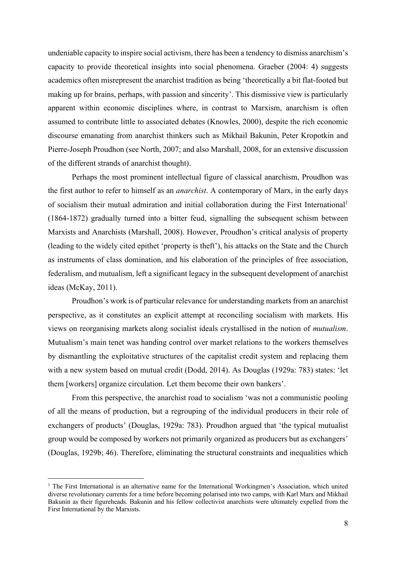undeniable capacity to inspire social activism, there has been a tendency to dismiss anarchism's capacity to provide theoretical insights into social phenomena. Graeber (2004: 4) suggests academics often misrepresent the anarchist tradition as being 'theoretically a bit flat-footed but making up for brains, perhaps, with passion and sincerity'. This dismissive view is particularly apparent within economic disciplines where, in contrast to Marxism, anarchism is often assumed to contribute little to associated debates (Knowles, 2000), despite the rich economic discourse emanating from anarchist thinkers such as Mikhail Bakunin, Peter Kropotkin and Pierre-Joseph Proudhon (see North, 2007; and also Marshall, 2008, for an extensive discussion of the different strands of anarchist thought).

Perhaps the most prominent intellectual figure of classical anarchism, Proudhon was the first author to refer to himself as an *anarchist*. A contemporary of Marx, in the early days of socialism their mutual admiration and initial collaboration during the First International1 (1864-1872) gradually turned into a bitter feud, signalling the subsequent schism between Marxists and Anarchists (Marshall, 2008). However, Proudhon's critical analysis of property (leading to the widely cited epithet 'property is theft'), his attacks on the State and the Church as instruments of class domination, and his elaboration of the principles of free association, federalism, and mutualism, left a significant legacy in the subsequent development of anarchist ideas (McKay, 2011).

Proudhon's work is of particular relevance for understanding markets from an anarchist perspective, as it constitutes an explicit attempt at reconciling socialism with markets. His views on reorganising markets along socialist ideals crystallised in the notion of *mutualism*. Mutualism's main tenet was handing control over market relations to the workers themselves by dismantling the exploitative structures of the capitalist credit system and replacing them with a new system based on mutual credit (Dodd, 2014). As Douglas (1929a: 783) states: 'let them [workers] organize circulation. Let them become their own bankers'.

From this perspective, the anarchist road to socialism 'was not a communistic pooling of all the means of production, but a regrouping of the individual producers in their role of exchangers of products' (Douglas, 1929a: 783). Proudhon argued that 'the typical mutualist group would be composed by workers not primarily organized as producers but as exchangers' (Douglas, 1929b; 46). Therefore, eliminating the structural constraints and inequalities which

 $<sup>1</sup>$  The First International is an alternative name for the International Workingmen's Association, which united</sup> diverse revolutionary currents for a time before becoming polarised into two camps, with Karl Marx and Mikhail Bakunin as their figureheads. Bakunin and his fellow collectivist anarchists were ultimately expelled from the First International by the Marxists.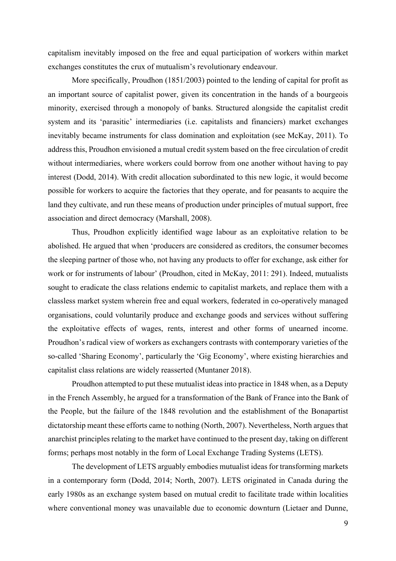capitalism inevitably imposed on the free and equal participation of workers within market exchanges constitutes the crux of mutualism's revolutionary endeavour.

More specifically, Proudhon (1851/2003) pointed to the lending of capital for profit as an important source of capitalist power, given its concentration in the hands of a bourgeois minority, exercised through a monopoly of banks. Structured alongside the capitalist credit system and its 'parasitic' intermediaries (i.e. capitalists and financiers) market exchanges inevitably became instruments for class domination and exploitation (see McKay, 2011). To address this, Proudhon envisioned a mutual credit system based on the free circulation of credit without intermediaries, where workers could borrow from one another without having to pay interest (Dodd, 2014). With credit allocation subordinated to this new logic, it would become possible for workers to acquire the factories that they operate, and for peasants to acquire the land they cultivate, and run these means of production under principles of mutual support, free association and direct democracy (Marshall, 2008).

Thus, Proudhon explicitly identified wage labour as an exploitative relation to be abolished. He argued that when 'producers are considered as creditors, the consumer becomes the sleeping partner of those who, not having any products to offer for exchange, ask either for work or for instruments of labour' (Proudhon, cited in McKay, 2011: 291). Indeed, mutualists sought to eradicate the class relations endemic to capitalist markets, and replace them with a classless market system wherein free and equal workers, federated in co-operatively managed organisations, could voluntarily produce and exchange goods and services without suffering the exploitative effects of wages, rents, interest and other forms of unearned income. Proudhon's radical view of workers as exchangers contrasts with contemporary varieties of the so-called 'Sharing Economy', particularly the 'Gig Economy', where existing hierarchies and capitalist class relations are widely reasserted (Muntaner 2018).

Proudhon attempted to put these mutualist ideas into practice in 1848 when, as a Deputy in the French Assembly, he argued for a transformation of the Bank of France into the Bank of the People, but the failure of the 1848 revolution and the establishment of the Bonapartist dictatorship meant these efforts came to nothing (North, 2007). Nevertheless, North argues that anarchist principles relating to the market have continued to the present day, taking on different forms; perhaps most notably in the form of Local Exchange Trading Systems (LETS).

The development of LETS arguably embodies mutualist ideas for transforming markets in a contemporary form (Dodd, 2014; North, 2007). LETS originated in Canada during the early 1980s as an exchange system based on mutual credit to facilitate trade within localities where conventional money was unavailable due to economic downturn (Lietaer and Dunne,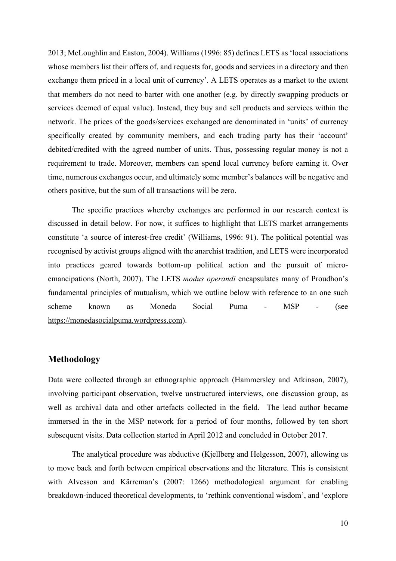2013; McLoughlin and Easton, 2004). Williams (1996: 85) defines LETS as 'local associations whose members list their offers of, and requests for, goods and services in a directory and then exchange them priced in a local unit of currency'. A LETS operates as a market to the extent that members do not need to barter with one another (e.g. by directly swapping products or services deemed of equal value). Instead, they buy and sell products and services within the network. The prices of the goods/services exchanged are denominated in 'units' of currency specifically created by community members, and each trading party has their 'account' debited/credited with the agreed number of units. Thus, possessing regular money is not a requirement to trade. Moreover, members can spend local currency before earning it. Over time, numerous exchanges occur, and ultimately some member's balances will be negative and others positive, but the sum of all transactions will be zero.

The specific practices whereby exchanges are performed in our research context is discussed in detail below. For now, it suffices to highlight that LETS market arrangements constitute 'a source of interest-free credit' (Williams, 1996: 91). The political potential was recognised by activist groups aligned with the anarchist tradition, and LETS were incorporated into practices geared towards bottom-up political action and the pursuit of microemancipations (North, 2007). The LETS *modus operandi* encapsulates many of Proudhon's fundamental principles of mutualism, which we outline below with reference to an one such scheme known as Moneda Social Puma - MSP - (see https://monedasocialpuma.wordpress.com).

### **Methodology**

Data were collected through an ethnographic approach (Hammersley and Atkinson, 2007), involving participant observation, twelve unstructured interviews, one discussion group, as well as archival data and other artefacts collected in the field. The lead author became immersed in the in the MSP network for a period of four months, followed by ten short subsequent visits. Data collection started in April 2012 and concluded in October 2017.

The analytical procedure was abductive (Kjellberg and Helgesson, 2007), allowing us to move back and forth between empirical observations and the literature. This is consistent with Alvesson and Kärreman's (2007: 1266) methodological argument for enabling breakdown-induced theoretical developments, to 'rethink conventional wisdom', and 'explore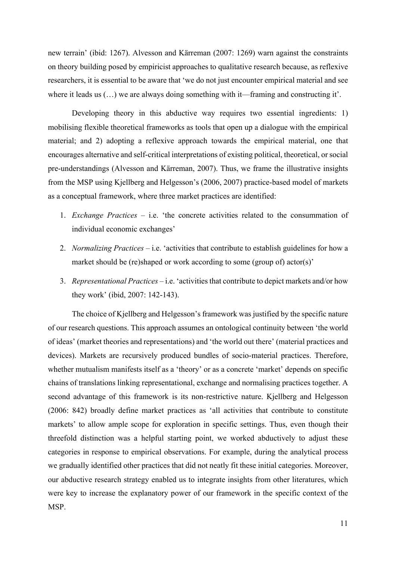new terrain' (ibid: 1267). Alvesson and Kärreman (2007: 1269) warn against the constraints on theory building posed by empiricist approaches to qualitative research because, as reflexive researchers, it is essential to be aware that 'we do not just encounter empirical material and see where it leads us  $(...)$  we are always doing something with it—framing and constructing it'.

Developing theory in this abductive way requires two essential ingredients: 1) mobilising flexible theoretical frameworks as tools that open up a dialogue with the empirical material; and 2) adopting a reflexive approach towards the empirical material, one that encourages alternative and self-critical interpretations of existing political, theoretical, or social pre-understandings (Alvesson and Kärreman, 2007). Thus, we frame the illustrative insights from the MSP using Kjellberg and Helgesson's (2006, 2007) practice-based model of markets as a conceptual framework, where three market practices are identified:

- 1. *Exchange Practices* i.e. 'the concrete activities related to the consummation of individual economic exchanges'
- 2. *Normalizing Practices* i.e. 'activities that contribute to establish guidelines for how a market should be (re)shaped or work according to some (group of) actor(s)'
- 3. *Representational Practices* i.e. 'activities that contribute to depict markets and/or how they work' (ibid, 2007: 142-143).

The choice of Kjellberg and Helgesson's framework was justified by the specific nature of our research questions. This approach assumes an ontological continuity between 'the world of ideas' (market theories and representations) and 'the world out there' (material practices and devices). Markets are recursively produced bundles of socio-material practices. Therefore, whether mutualism manifests itself as a 'theory' or as a concrete 'market' depends on specific chains of translations linking representational, exchange and normalising practices together. A second advantage of this framework is its non-restrictive nature. Kjellberg and Helgesson (2006: 842) broadly define market practices as 'all activities that contribute to constitute markets' to allow ample scope for exploration in specific settings. Thus, even though their threefold distinction was a helpful starting point, we worked abductively to adjust these categories in response to empirical observations. For example, during the analytical process we gradually identified other practices that did not neatly fit these initial categories. Moreover, our abductive research strategy enabled us to integrate insights from other literatures, which were key to increase the explanatory power of our framework in the specific context of the MSP.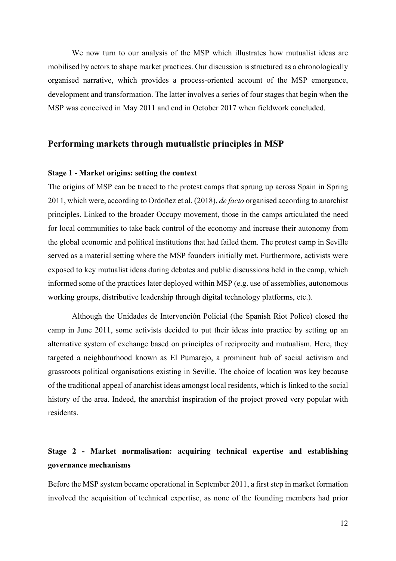We now turn to our analysis of the MSP which illustrates how mutualist ideas are mobilised by actors to shape market practices. Our discussion is structured as a chronologically organised narrative, which provides a process-oriented account of the MSP emergence, development and transformation. The latter involves a series of four stages that begin when the MSP was conceived in May 2011 and end in October 2017 when fieldwork concluded.

## **Performing markets through mutualistic principles in MSP**

### **Stage 1 - Market origins: setting the context**

The origins of MSP can be traced to the protest camps that sprung up across Spain in Spring 2011, which were, according to Ordoñez et al. (2018), *de facto* organised according to anarchist principles. Linked to the broader Occupy movement, those in the camps articulated the need for local communities to take back control of the economy and increase their autonomy from the global economic and political institutions that had failed them. The protest camp in Seville served as a material setting where the MSP founders initially met. Furthermore, activists were exposed to key mutualist ideas during debates and public discussions held in the camp, which informed some of the practices later deployed within MSP (e.g. use of assemblies, autonomous working groups, distributive leadership through digital technology platforms, etc.).

Although the Unidades de Intervención Policial (the Spanish Riot Police) closed the camp in June 2011, some activists decided to put their ideas into practice by setting up an alternative system of exchange based on principles of reciprocity and mutualism. Here, they targeted a neighbourhood known as El Pumarejo, a prominent hub of social activism and grassroots political organisations existing in Seville. The choice of location was key because of the traditional appeal of anarchist ideas amongst local residents, which is linked to the social history of the area. Indeed, the anarchist inspiration of the project proved very popular with residents.

## **Stage 2 - Market normalisation: acquiring technical expertise and establishing governance mechanisms**

Before the MSP system became operational in September 2011, a first step in market formation involved the acquisition of technical expertise, as none of the founding members had prior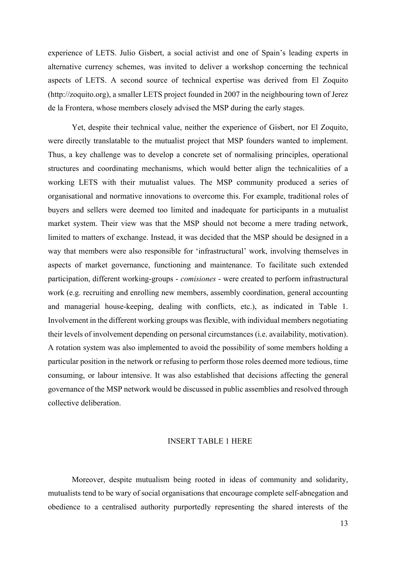experience of LETS. Julio Gisbert, a social activist and one of Spain's leading experts in alternative currency schemes, was invited to deliver a workshop concerning the technical aspects of LETS. A second source of technical expertise was derived from El Zoquito (http://zoquito.org), a smaller LETS project founded in 2007 in the neighbouring town of Jerez de la Frontera, whose members closely advised the MSP during the early stages.

Yet, despite their technical value, neither the experience of Gisbert, nor El Zoquito, were directly translatable to the mutualist project that MSP founders wanted to implement. Thus, a key challenge was to develop a concrete set of normalising principles, operational structures and coordinating mechanisms, which would better align the technicalities of a working LETS with their mutualist values. The MSP community produced a series of organisational and normative innovations to overcome this. For example, traditional roles of buyers and sellers were deemed too limited and inadequate for participants in a mutualist market system. Their view was that the MSP should not become a mere trading network, limited to matters of exchange. Instead, it was decided that the MSP should be designed in a way that members were also responsible for 'infrastructural' work, involving themselves in aspects of market governance, functioning and maintenance. To facilitate such extended participation, different working-groups - *comisiones* - were created to perform infrastructural work (e.g. recruiting and enrolling new members, assembly coordination, general accounting and managerial house-keeping, dealing with conflicts, etc.), as indicated in Table 1. Involvement in the different working groups was flexible, with individual members negotiating their levels of involvement depending on personal circumstances (i.e. availability, motivation). A rotation system was also implemented to avoid the possibility of some members holding a particular position in the network or refusing to perform those roles deemed more tedious, time consuming, or labour intensive. It was also established that decisions affecting the general governance of the MSP network would be discussed in public assemblies and resolved through collective deliberation.

#### INSERT TABLE 1 HERE

Moreover, despite mutualism being rooted in ideas of community and solidarity, mutualists tend to be wary of social organisations that encourage complete self-abnegation and obedience to a centralised authority purportedly representing the shared interests of the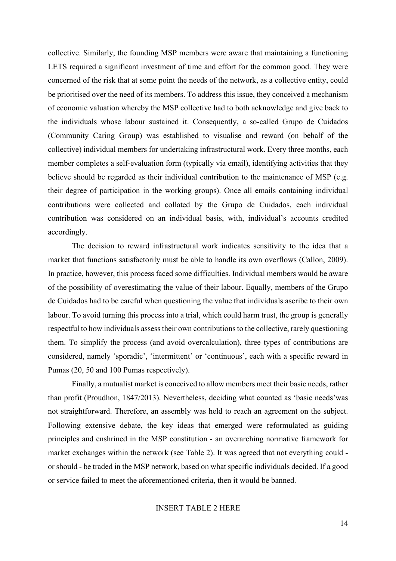collective. Similarly, the founding MSP members were aware that maintaining a functioning LETS required a significant investment of time and effort for the common good. They were concerned of the risk that at some point the needs of the network, as a collective entity, could be prioritised over the need of its members. To address this issue, they conceived a mechanism of economic valuation whereby the MSP collective had to both acknowledge and give back to the individuals whose labour sustained it. Consequently, a so-called Grupo de Cuidados (Community Caring Group) was established to visualise and reward (on behalf of the collective) individual members for undertaking infrastructural work. Every three months, each member completes a self-evaluation form (typically via email), identifying activities that they believe should be regarded as their individual contribution to the maintenance of MSP (e.g. their degree of participation in the working groups). Once all emails containing individual contributions were collected and collated by the Grupo de Cuidados, each individual contribution was considered on an individual basis, with, individual's accounts credited accordingly.

The decision to reward infrastructural work indicates sensitivity to the idea that a market that functions satisfactorily must be able to handle its own overflows (Callon, 2009). In practice, however, this process faced some difficulties. Individual members would be aware of the possibility of overestimating the value of their labour. Equally, members of the Grupo de Cuidados had to be careful when questioning the value that individuals ascribe to their own labour. To avoid turning this process into a trial, which could harm trust, the group is generally respectful to how individuals assess their own contributions to the collective, rarely questioning them. To simplify the process (and avoid overcalculation), three types of contributions are considered, namely 'sporadic', 'intermittent' or 'continuous', each with a specific reward in Pumas (20, 50 and 100 Pumas respectively).

Finally, a mutualist market is conceived to allow members meet their basic needs, rather than profit (Proudhon, 1847/2013). Nevertheless, deciding what counted as 'basic needs'was not straightforward. Therefore, an assembly was held to reach an agreement on the subject. Following extensive debate, the key ideas that emerged were reformulated as guiding principles and enshrined in the MSP constitution - an overarching normative framework for market exchanges within the network (see Table 2). It was agreed that not everything could or should - be traded in the MSP network, based on what specific individuals decided. If a good or service failed to meet the aforementioned criteria, then it would be banned.

## INSERT TABLE 2 HERE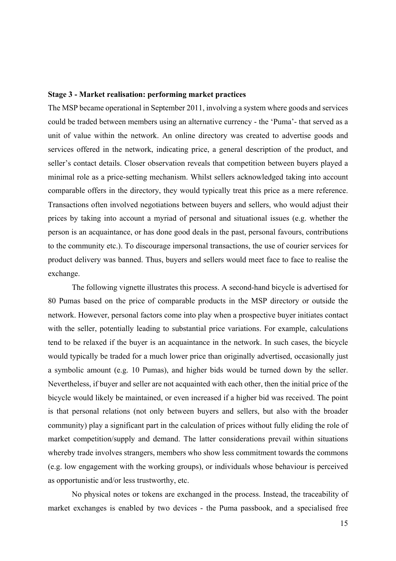#### **Stage 3 - Market realisation: performing market practices**

The MSP became operational in September 2011, involving a system where goods and services could be traded between members using an alternative currency - the 'Puma'- that served as a unit of value within the network. An online directory was created to advertise goods and services offered in the network, indicating price, a general description of the product, and seller's contact details. Closer observation reveals that competition between buyers played a minimal role as a price-setting mechanism. Whilst sellers acknowledged taking into account comparable offers in the directory, they would typically treat this price as a mere reference. Transactions often involved negotiations between buyers and sellers, who would adjust their prices by taking into account a myriad of personal and situational issues (e.g. whether the person is an acquaintance, or has done good deals in the past, personal favours, contributions to the community etc.). To discourage impersonal transactions, the use of courier services for product delivery was banned. Thus, buyers and sellers would meet face to face to realise the exchange.

The following vignette illustrates this process. A second-hand bicycle is advertised for 80 Pumas based on the price of comparable products in the MSP directory or outside the network. However, personal factors come into play when a prospective buyer initiates contact with the seller, potentially leading to substantial price variations. For example, calculations tend to be relaxed if the buyer is an acquaintance in the network. In such cases, the bicycle would typically be traded for a much lower price than originally advertised, occasionally just a symbolic amount (e.g. 10 Pumas), and higher bids would be turned down by the seller. Nevertheless, if buyer and seller are not acquainted with each other, then the initial price of the bicycle would likely be maintained, or even increased if a higher bid was received. The point is that personal relations (not only between buyers and sellers, but also with the broader community) play a significant part in the calculation of prices without fully eliding the role of market competition/supply and demand. The latter considerations prevail within situations whereby trade involves strangers, members who show less commitment towards the commons (e.g. low engagement with the working groups), or individuals whose behaviour is perceived as opportunistic and/or less trustworthy, etc.

No physical notes or tokens are exchanged in the process. Instead, the traceability of market exchanges is enabled by two devices - the Puma passbook, and a specialised free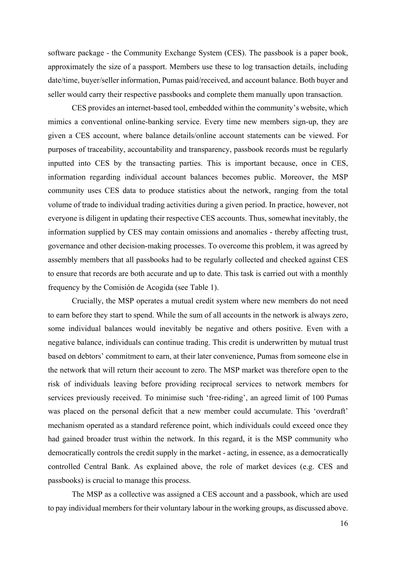software package - the Community Exchange System (CES). The passbook is a paper book, approximately the size of a passport. Members use these to log transaction details, including date/time, buyer/seller information, Pumas paid/received, and account balance. Both buyer and seller would carry their respective passbooks and complete them manually upon transaction.

CES provides an internet-based tool, embedded within the community's website, which mimics a conventional online-banking service. Every time new members sign-up, they are given a CES account, where balance details/online account statements can be viewed. For purposes of traceability, accountability and transparency, passbook records must be regularly inputted into CES by the transacting parties. This is important because, once in CES, information regarding individual account balances becomes public. Moreover, the MSP community uses CES data to produce statistics about the network, ranging from the total volume of trade to individual trading activities during a given period. In practice, however, not everyone is diligent in updating their respective CES accounts. Thus, somewhat inevitably, the information supplied by CES may contain omissions and anomalies - thereby affecting trust, governance and other decision-making processes. To overcome this problem, it was agreed by assembly members that all passbooks had to be regularly collected and checked against CES to ensure that records are both accurate and up to date. This task is carried out with a monthly frequency by the Comisión de Acogida (see Table 1).

Crucially, the MSP operates a mutual credit system where new members do not need to earn before they start to spend. While the sum of all accounts in the network is always zero, some individual balances would inevitably be negative and others positive. Even with a negative balance, individuals can continue trading. This credit is underwritten by mutual trust based on debtors' commitment to earn, at their later convenience, Pumas from someone else in the network that will return their account to zero. The MSP market was therefore open to the risk of individuals leaving before providing reciprocal services to network members for services previously received. To minimise such 'free-riding', an agreed limit of 100 Pumas was placed on the personal deficit that a new member could accumulate. This 'overdraft' mechanism operated as a standard reference point, which individuals could exceed once they had gained broader trust within the network. In this regard, it is the MSP community who democratically controls the credit supply in the market - acting, in essence, as a democratically controlled Central Bank. As explained above, the role of market devices (e.g. CES and passbooks) is crucial to manage this process.

The MSP as a collective was assigned a CES account and a passbook, which are used to pay individual members for their voluntary labour in the working groups, as discussed above.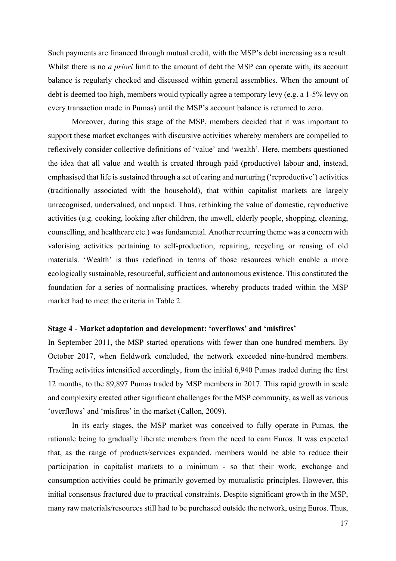Such payments are financed through mutual credit, with the MSP's debt increasing as a result. Whilst there is no *a priori* limit to the amount of debt the MSP can operate with, its account balance is regularly checked and discussed within general assemblies. When the amount of debt is deemed too high, members would typically agree a temporary levy (e.g. a 1-5% levy on every transaction made in Pumas) until the MSP's account balance is returned to zero.

Moreover, during this stage of the MSP, members decided that it was important to support these market exchanges with discursive activities whereby members are compelled to reflexively consider collective definitions of 'value' and 'wealth'. Here, members questioned the idea that all value and wealth is created through paid (productive) labour and, instead, emphasised that life is sustained through a set of caring and nurturing ('reproductive') activities (traditionally associated with the household), that within capitalist markets are largely unrecognised, undervalued, and unpaid. Thus, rethinking the value of domestic, reproductive activities (e.g. cooking, looking after children, the unwell, elderly people, shopping, cleaning, counselling, and healthcare etc.) was fundamental. Another recurring theme was a concern with valorising activities pertaining to self-production, repairing, recycling or reusing of old materials. 'Wealth' is thus redefined in terms of those resources which enable a more ecologically sustainable, resourceful, sufficient and autonomous existence. This constituted the foundation for a series of normalising practices, whereby products traded within the MSP market had to meet the criteria in Table 2.

#### **Stage 4** - **Market adaptation and development: 'overflows' and 'misfires'**

In September 2011, the MSP started operations with fewer than one hundred members. By October 2017, when fieldwork concluded, the network exceeded nine-hundred members. Trading activities intensified accordingly, from the initial 6,940 Pumas traded during the first 12 months, to the 89,897 Pumas traded by MSP members in 2017. This rapid growth in scale and complexity created other significant challenges for the MSP community, as well as various 'overflows' and 'misfires' in the market (Callon, 2009).

In its early stages, the MSP market was conceived to fully operate in Pumas, the rationale being to gradually liberate members from the need to earn Euros. It was expected that, as the range of products/services expanded, members would be able to reduce their participation in capitalist markets to a minimum - so that their work, exchange and consumption activities could be primarily governed by mutualistic principles. However, this initial consensus fractured due to practical constraints. Despite significant growth in the MSP, many raw materials/resources still had to be purchased outside the network, using Euros. Thus,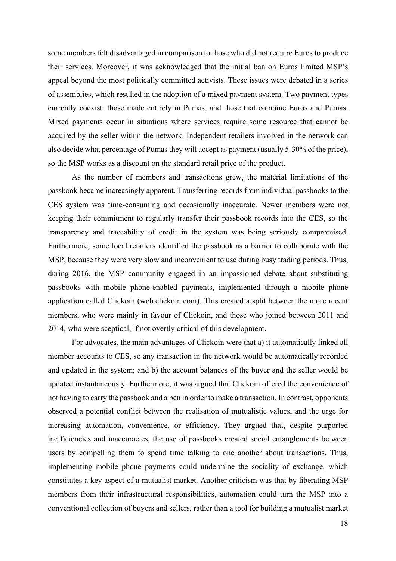some members felt disadvantaged in comparison to those who did not require Euros to produce their services. Moreover, it was acknowledged that the initial ban on Euros limited MSP's appeal beyond the most politically committed activists. These issues were debated in a series of assemblies, which resulted in the adoption of a mixed payment system. Two payment types currently coexist: those made entirely in Pumas, and those that combine Euros and Pumas. Mixed payments occur in situations where services require some resource that cannot be acquired by the seller within the network. Independent retailers involved in the network can also decide what percentage of Pumas they will accept as payment (usually 5-30% of the price), so the MSP works as a discount on the standard retail price of the product.

As the number of members and transactions grew, the material limitations of the passbook became increasingly apparent. Transferring records from individual passbooks to the CES system was time-consuming and occasionally inaccurate. Newer members were not keeping their commitment to regularly transfer their passbook records into the CES, so the transparency and traceability of credit in the system was being seriously compromised. Furthermore, some local retailers identified the passbook as a barrier to collaborate with the MSP, because they were very slow and inconvenient to use during busy trading periods. Thus, during 2016, the MSP community engaged in an impassioned debate about substituting passbooks with mobile phone-enabled payments, implemented through a mobile phone application called Clickoin (web.clickoin.com). This created a split between the more recent members, who were mainly in favour of Clickoin, and those who joined between 2011 and 2014, who were sceptical, if not overtly critical of this development.

For advocates, the main advantages of Clickoin were that a) it automatically linked all member accounts to CES, so any transaction in the network would be automatically recorded and updated in the system; and b) the account balances of the buyer and the seller would be updated instantaneously. Furthermore, it was argued that Clickoin offered the convenience of not having to carry the passbook and a pen in order to make a transaction. In contrast, opponents observed a potential conflict between the realisation of mutualistic values, and the urge for increasing automation, convenience, or efficiency. They argued that, despite purported inefficiencies and inaccuracies, the use of passbooks created social entanglements between users by compelling them to spend time talking to one another about transactions. Thus, implementing mobile phone payments could undermine the sociality of exchange, which constitutes a key aspect of a mutualist market. Another criticism was that by liberating MSP members from their infrastructural responsibilities, automation could turn the MSP into a conventional collection of buyers and sellers, rather than a tool for building a mutualist market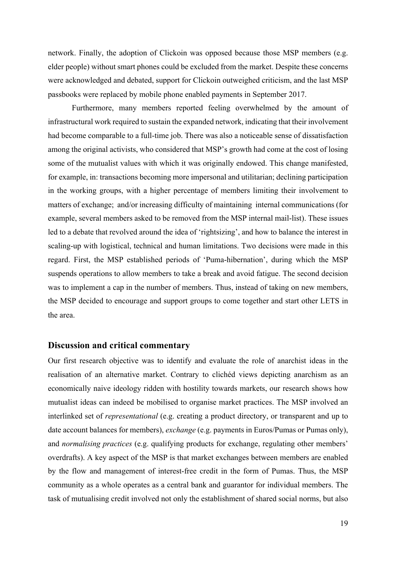network. Finally, the adoption of Clickoin was opposed because those MSP members (e.g. elder people) without smart phones could be excluded from the market. Despite these concerns were acknowledged and debated, support for Clickoin outweighed criticism, and the last MSP passbooks were replaced by mobile phone enabled payments in September 2017.

Furthermore, many members reported feeling overwhelmed by the amount of infrastructural work required to sustain the expanded network, indicating that their involvement had become comparable to a full-time job. There was also a noticeable sense of dissatisfaction among the original activists, who considered that MSP's growth had come at the cost of losing some of the mutualist values with which it was originally endowed. This change manifested, for example, in: transactions becoming more impersonal and utilitarian; declining participation in the working groups, with a higher percentage of members limiting their involvement to matters of exchange; and/or increasing difficulty of maintaining internal communications (for example, several members asked to be removed from the MSP internal mail-list). These issues led to a debate that revolved around the idea of 'rightsizing', and how to balance the interest in scaling-up with logistical, technical and human limitations. Two decisions were made in this regard. First, the MSP established periods of 'Puma-hibernation', during which the MSP suspends operations to allow members to take a break and avoid fatigue. The second decision was to implement a cap in the number of members. Thus, instead of taking on new members, the MSP decided to encourage and support groups to come together and start other LETS in the area.

#### **Discussion and critical commentary**

Our first research objective was to identify and evaluate the role of anarchist ideas in the realisation of an alternative market. Contrary to clichéd views depicting anarchism as an economically naive ideology ridden with hostility towards markets, our research shows how mutualist ideas can indeed be mobilised to organise market practices. The MSP involved an interlinked set of *representational* (e.g. creating a product directory, or transparent and up to date account balances for members), *exchange* (e.g. payments in Euros/Pumas or Pumas only), and *normalising practices* (e.g. qualifying products for exchange, regulating other members' overdrafts). A key aspect of the MSP is that market exchanges between members are enabled by the flow and management of interest-free credit in the form of Pumas. Thus, the MSP community as a whole operates as a central bank and guarantor for individual members. The task of mutualising credit involved not only the establishment of shared social norms, but also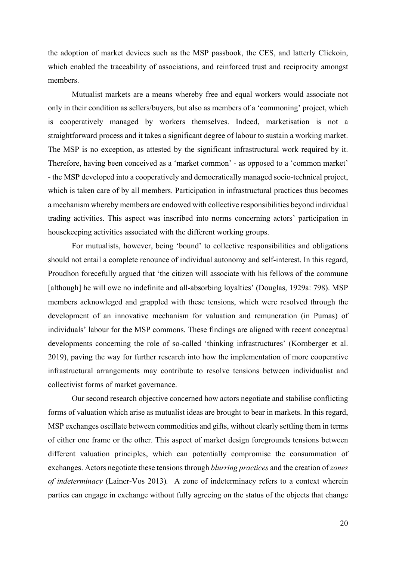the adoption of market devices such as the MSP passbook, the CES, and latterly Clickoin, which enabled the traceability of associations, and reinforced trust and reciprocity amongst members.

Mutualist markets are a means whereby free and equal workers would associate not only in their condition as sellers/buyers, but also as members of a 'commoning' project, which is cooperatively managed by workers themselves. Indeed, marketisation is not a straightforward process and it takes a significant degree of labour to sustain a working market. The MSP is no exception, as attested by the significant infrastructural work required by it. Therefore, having been conceived as a 'market common' - as opposed to a 'common market' - the MSP developed into a cooperatively and democratically managed socio-technical project, which is taken care of by all members. Participation in infrastructural practices thus becomes a mechanism whereby members are endowed with collective responsibilities beyond individual trading activities. This aspect was inscribed into norms concerning actors' participation in housekeeping activities associated with the different working groups.

For mutualists, however, being 'bound' to collective responsibilities and obligations should not entail a complete renounce of individual autonomy and self-interest. In this regard, Proudhon forecefully argued that 'the citizen will associate with his fellows of the commune [although] he will owe no indefinite and all-absorbing loyalties' (Douglas, 1929a: 798). MSP members acknowleged and grappled with these tensions, which were resolved through the development of an innovative mechanism for valuation and remuneration (in Pumas) of individuals' labour for the MSP commons. These findings are aligned with recent conceptual developments concerning the role of so-called 'thinking infrastructures' (Kornberger et al. 2019), paving the way for further research into how the implementation of more cooperative infrastructural arrangements may contribute to resolve tensions between individualist and collectivist forms of market governance.

Our second research objective concerned how actors negotiate and stabilise conflicting forms of valuation which arise as mutualist ideas are brought to bear in markets. In this regard, MSP exchanges oscillate between commodities and gifts, without clearly settling them in terms of either one frame or the other. This aspect of market design foregrounds tensions between different valuation principles, which can potentially compromise the consummation of exchanges. Actors negotiate these tensions through *blurring practices* and the creation of *zones of indeterminacy* (Lainer-Vos 2013)*.* A zone of indeterminacy refers to a context wherein parties can engage in exchange without fully agreeing on the status of the objects that change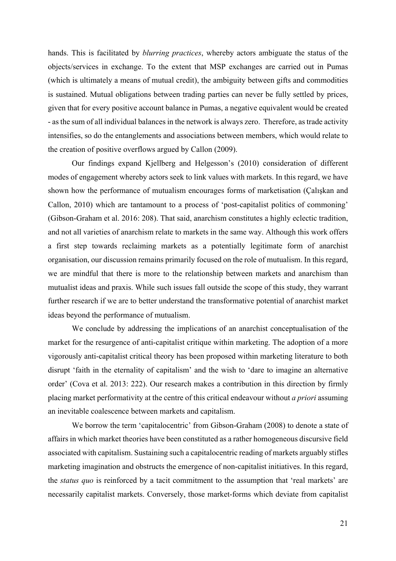hands. This is facilitated by *blurring practices*, whereby actors ambiguate the status of the objects/services in exchange. To the extent that MSP exchanges are carried out in Pumas (which is ultimately a means of mutual credit), the ambiguity between gifts and commodities is sustained. Mutual obligations between trading parties can never be fully settled by prices, given that for every positive account balance in Pumas, a negative equivalent would be created - as the sum of all individual balances in the network is always zero. Therefore, as trade activity intensifies, so do the entanglements and associations between members, which would relate to the creation of positive overflows argued by Callon (2009).

Our findings expand Kjellberg and Helgesson's (2010) consideration of different modes of engagement whereby actors seek to link values with markets. In this regard, we have shown how the performance of mutualism encourages forms of marketisation (Çalışkan and Callon, 2010) which are tantamount to a process of 'post-capitalist politics of commoning' (Gibson-Graham et al. 2016: 208). That said, anarchism constitutes a highly eclectic tradition, and not all varieties of anarchism relate to markets in the same way. Although this work offers a first step towards reclaiming markets as a potentially legitimate form of anarchist organisation, our discussion remains primarily focused on the role of mutualism. In this regard, we are mindful that there is more to the relationship between markets and anarchism than mutualist ideas and praxis. While such issues fall outside the scope of this study, they warrant further research if we are to better understand the transformative potential of anarchist market ideas beyond the performance of mutualism.

We conclude by addressing the implications of an anarchist conceptualisation of the market for the resurgence of anti-capitalist critique within marketing. The adoption of a more vigorously anti-capitalist critical theory has been proposed within marketing literature to both disrupt 'faith in the eternality of capitalism' and the wish to 'dare to imagine an alternative order' (Cova et al. 2013: 222). Our research makes a contribution in this direction by firmly placing market performativity at the centre of this critical endeavour without *a priori* assuming an inevitable coalescence between markets and capitalism.

We borrow the term 'capitalocentric' from Gibson-Graham (2008) to denote a state of affairs in which market theories have been constituted as a rather homogeneous discursive field associated with capitalism. Sustaining such a capitalocentric reading of markets arguably stifles marketing imagination and obstructs the emergence of non-capitalist initiatives. In this regard, the *status quo* is reinforced by a tacit commitment to the assumption that 'real markets' are necessarily capitalist markets. Conversely, those market-forms which deviate from capitalist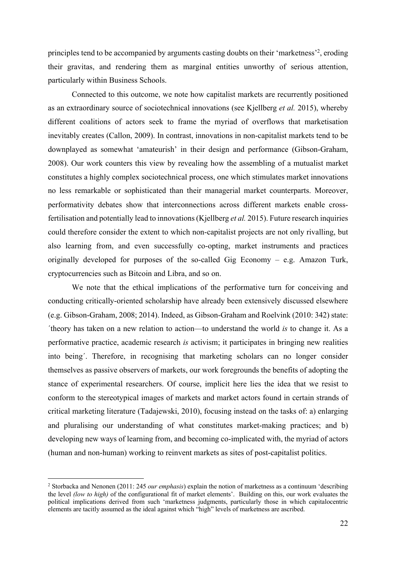principles tend to be accompanied by arguments casting doubts on their 'marketness'<sup>2</sup>, eroding their gravitas, and rendering them as marginal entities unworthy of serious attention, particularly within Business Schools.

Connected to this outcome, we note how capitalist markets are recurrently positioned as an extraordinary source of sociotechnical innovations (see Kjellberg *et al.* 2015), whereby different coalitions of actors seek to frame the myriad of overflows that marketisation inevitably creates (Callon, 2009). In contrast, innovations in non-capitalist markets tend to be downplayed as somewhat 'amateurish' in their design and performance (Gibson-Graham, 2008). Our work counters this view by revealing how the assembling of a mutualist market constitutes a highly complex sociotechnical process, one which stimulates market innovations no less remarkable or sophisticated than their managerial market counterparts. Moreover, performativity debates show that interconnections across different markets enable crossfertilisation and potentially lead to innovations (Kjellberg *et al.* 2015). Future research inquiries could therefore consider the extent to which non-capitalist projects are not only rivalling, but also learning from, and even successfully co-opting, market instruments and practices originally developed for purposes of the so-called Gig Economy – e.g. Amazon Turk, cryptocurrencies such as Bitcoin and Libra, and so on.

We note that the ethical implications of the performative turn for conceiving and conducting critically-oriented scholarship have already been extensively discussed elsewhere (e.g. Gibson-Graham, 2008; 2014). Indeed, as Gibson-Graham and Roelvink (2010: 342) state: ´theory has taken on a new relation to action—to understand the world *is* to change it. As a performative practice, academic research *is* activism; it participates in bringing new realities into being´. Therefore, in recognising that marketing scholars can no longer consider themselves as passive observers of markets, our work foregrounds the benefits of adopting the stance of experimental researchers. Of course, implicit here lies the idea that we resist to conform to the stereotypical images of markets and market actors found in certain strands of critical marketing literature (Tadajewski, 2010), focusing instead on the tasks of: a) enlarging and pluralising our understanding of what constitutes market-making practices; and b) developing new ways of learning from, and becoming co-implicated with, the myriad of actors (human and non-human) working to reinvent markets as sites of post-capitalist politics.

<sup>2</sup> Storbacka and Nenonen (2011: 245 *our emphasis*) explain the notion of marketness as a continuum 'describing the level *(low to high)* of the configurational fit of market elements'. Building on this, our work evaluates the political implications derived from such 'marketness judgments, particularly those in which capitalocentric elements are tacitly assumed as the ideal against which "high" levels of marketness are ascribed.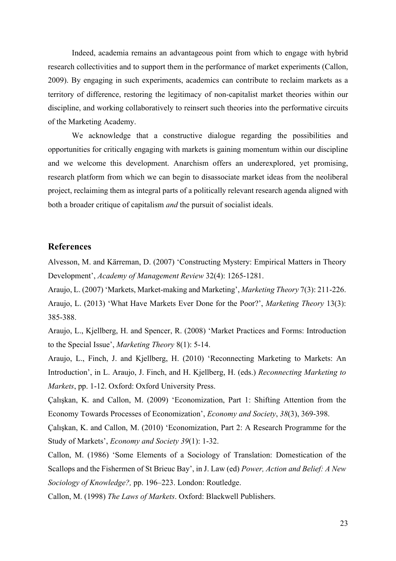Indeed, academia remains an advantageous point from which to engage with hybrid research collectivities and to support them in the performance of market experiments (Callon, 2009). By engaging in such experiments, academics can contribute to reclaim markets as a territory of difference, restoring the legitimacy of non-capitalist market theories within our discipline, and working collaboratively to reinsert such theories into the performative circuits of the Marketing Academy.

We acknowledge that a constructive dialogue regarding the possibilities and opportunities for critically engaging with markets is gaining momentum within our discipline and we welcome this development. Anarchism offers an underexplored, yet promising, research platform from which we can begin to disassociate market ideas from the neoliberal project, reclaiming them as integral parts of a politically relevant research agenda aligned with both a broader critique of capitalism *and* the pursuit of socialist ideals.

## **References**

Alvesson, M. and Kärreman, D. (2007) 'Constructing Mystery: Empirical Matters in Theory Development', *Academy of Management Review* 32(4): 1265-1281.

Araujo, L. (2007) 'Markets, Market-making and Marketing', *Marketing Theory* 7(3): 211-226. Araujo, L. (2013) 'What Have Markets Ever Done for the Poor?', *Marketing Theory* 13(3): 385-388.

Araujo, L., Kjellberg, H. and Spencer, R. (2008) 'Market Practices and Forms: Introduction to the Special Issue', *Marketing Theory* 8(1): 5-14.

Araujo, L., Finch, J. and Kjellberg, H. (2010) 'Reconnecting Marketing to Markets: An Introduction', in L. Araujo, J. Finch, and H. Kjellberg, H. (eds.) *Reconnecting Marketing to Markets*, pp. 1-12. Oxford: Oxford University Press.

Çalışkan, K. and Callon, M. (2009) 'Economization, Part 1: Shifting Attention from the Economy Towards Processes of Economization', *Economy and Society*, *38*(3), 369-398.

Çalışkan, K. and Callon, M. (2010) 'Economization, Part 2: A Research Programme for the Study of Markets', *Economy and Society 39*(1): 1-32.

Callon, M. (1986) 'Some Elements of a Sociology of Translation: Domestication of the Scallops and the Fishermen of St Brieuc Bay', in J. Law (ed) *Power, Action and Belief: A New Sociology of Knowledge?,* pp. 196–223. London: Routledge.

Callon, M. (1998) *The Laws of Markets*. Oxford: Blackwell Publishers.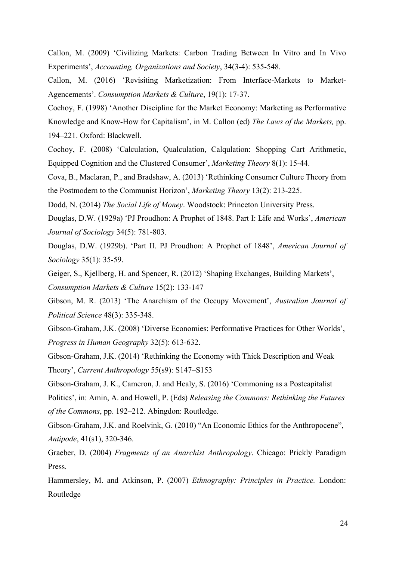Callon, M. (2009) 'Civilizing Markets: Carbon Trading Between In Vitro and In Vivo Experiments', *Accounting, Organizations and Society*, 34(3-4): 535-548.

Callon, M. (2016) 'Revisiting Marketization: From Interface-Markets to Market-Agencements'. *Consumption Markets & Culture*, 19(1): 17-37.

Cochoy, F. (1998) 'Another Discipline for the Market Economy: Marketing as Performative Knowledge and Know-How for Capitalism', in M. Callon (ed) *The Laws of the Markets,* pp. 194–221. Oxford: Blackwell.

Cochoy, F. (2008) 'Calculation, Qualculation, Calqulation: Shopping Cart Arithmetic, Equipped Cognition and the Clustered Consumer', *Marketing Theory* 8(1): 15-44.

Cova, B., Maclaran, P., and Bradshaw, A. (2013) 'Rethinking Consumer Culture Theory from the Postmodern to the Communist Horizon', *Marketing Theory* 13(2): 213-225.

Dodd, N. (2014) *The Social Life of Money*. Woodstock: Princeton University Press.

Douglas, D.W. (1929a) 'PJ Proudhon: A Prophet of 1848. Part I: Life and Works', *American Journal of Sociology* 34(5): 781-803.

Douglas, D.W. (1929b). 'Part II. PJ Proudhon: A Prophet of 1848', *American Journal of Sociology* 35(1): 35-59.

Geiger, S., Kjellberg, H. and Spencer, R. (2012) 'Shaping Exchanges, Building Markets', *Consumption Markets & Culture* 15(2): 133-147

Gibson, M. R. (2013) 'The Anarchism of the Occupy Movement', *Australian Journal of Political Science* 48(3): 335-348.

Gibson-Graham, J.K. (2008) 'Diverse Economies: Performative Practices for Other Worlds', *Progress in Human Geography* 32(5): 613-632.

Gibson-Graham, J.K. (2014) 'Rethinking the Economy with Thick Description and Weak Theory', *Current Anthropology* 55(s9): S147–S153

Gibson-Graham, J. K., Cameron, J. and Healy, S. (2016) 'Commoning as a Postcapitalist Politics', in: Amin, A. and Howell, P. (Eds) *Releasing the Commons: Rethinking the Futures of the Commons*, pp. 192–212. Abingdon: Routledge.

Gibson-Graham, J.K. and Roelvink, G. (2010) "An Economic Ethics for the Anthropocene", *Antipode*, 41(s1), 320-346.

Graeber, D. (2004) *Fragments of an Anarchist Anthropology*. Chicago: Prickly Paradigm Press.

Hammersley, M. and Atkinson, P. (2007) *Ethnography: Principles in Practice.* London: Routledge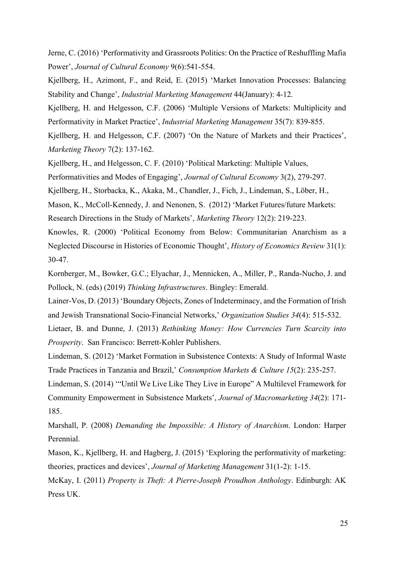Jerne, C. (2016) 'Performativity and Grassroots Politics: On the Practice of Reshuffling Mafia Power', *Journal of Cultural Economy* 9(6):541-554.

Kjellberg, H., Azimont, F., and Reid, E. (2015) 'Market Innovation Processes: Balancing Stability and Change', *Industrial Marketing Management* 44(January): 4-12.

Kjellberg, H. and Helgesson, C.F. (2006) 'Multiple Versions of Markets: Multiplicity and Performativity in Market Practice', *Industrial Marketing Management* 35(7): 839-855.

Kjellberg, H. and Helgesson, C.F. (2007) 'On the Nature of Markets and their Practices', *Marketing Theory* 7(2): 137-162.

Kjellberg, H., and Helgesson, C. F. (2010) 'Political Marketing: Multiple Values,

Performativities and Modes of Engaging', *Journal of Cultural Economy* 3(2), 279-297.

Kjellberg, H., Storbacka, K., Akaka, M., Chandler, J., Fich, J., Lindeman, S., Löber, H.,

Mason, K., McColl-Kennedy, J. and Nenonen, S. (2012) 'Market Futures/future Markets: Research Directions in the Study of Markets', *Marketing Theory* 12(2): 219-223.

Knowles, R. (2000) 'Political Economy from Below: Communitarian Anarchism as a Neglected Discourse in Histories of Economic Thought', *History of Economics Review* 31(1): 30-47.

Kornberger, M., Bowker, G.C.; Elyachar, J., Mennicken, A., Miller, P., Randa-Nucho, J. and Pollock, N. (eds) (2019) *Thinking Infrastructures*. Bingley: Emerald.

Lainer-Vos, D. (2013) 'Boundary Objects, Zones of Indeterminacy, and the Formation of Irish and Jewish Transnational Socio-Financial Networks,' *Organization Studies 34*(4): 515-532.

Lietaer, B. and Dunne, J. (2013) *Rethinking Money: How Currencies Turn Scarcity into Prosperity*. San Francisco: Berrett-Kohler Publishers.

Lindeman, S. (2012) 'Market Formation in Subsistence Contexts: A Study of Informal Waste Trade Practices in Tanzania and Brazil,' *Consumption Markets & Culture 15*(2): 235-257.

Lindeman, S. (2014) '"Until We Live Like They Live in Europe" A Multilevel Framework for Community Empowerment in Subsistence Markets', *Journal of Macromarketing 34*(2): 171- 185.

Marshall, P. (2008) *Demanding the Impossible: A History of Anarchism*. London: Harper Perennial.

Mason, K., Kjellberg, H. and Hagberg, J. (2015) 'Exploring the performativity of marketing: theories, practices and devices', *Journal of Marketing Management* 31(1-2): 1-15.

McKay, I. (2011) *Property is Theft: A Pierre-Joseph Proudhon Anthology*. Edinburgh: AK Press UK.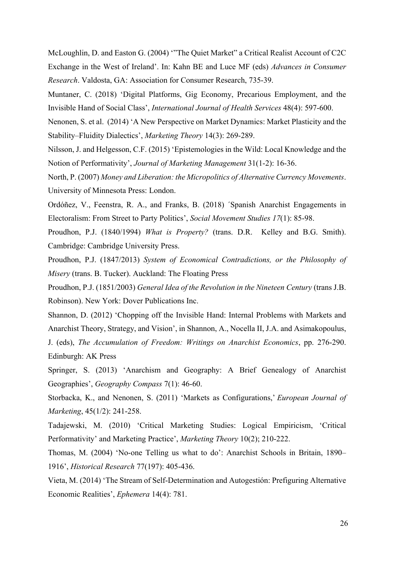McLoughlin, D. and Easton G. (2004) '"The Quiet Market" a Critical Realist Account of C2C Exchange in the West of Ireland'. In: Kahn BE and Luce MF (eds) *Advances in Consumer Research*. Valdosta, GA: Association for Consumer Research, 735-39.

Muntaner, C. (2018) 'Digital Platforms, Gig Economy, Precarious Employment, and the Invisible Hand of Social Class', *International Journal of Health Services* 48(4): 597-600.

Nenonen, S. et al. (2014) 'A New Perspective on Market Dynamics: Market Plasticity and the Stability–Fluidity Dialectics', *Marketing Theory* 14(3): 269-289.

Nilsson, J. and Helgesson, C.F. (2015) 'Epistemologies in the Wild: Local Knowledge and the Notion of Performativity', *Journal of Marketing Management* 31(1-2): 16-36.

North, P. (2007) *Money and Liberation: the Micropolitics of Alternative Currency Movements*. University of Minnesota Press: London.

Ordóñez, V., Feenstra, R. A., and Franks, B. (2018) ´Spanish Anarchist Engagements in Electoralism: From Street to Party Politics', *Social Movement Studies 17*(1): 85-98.

Proudhon, P.J. (1840/1994) *What is Property?* (trans. D.R. Kelley and B.G. Smith). Cambridge: Cambridge University Press.

Proudhon, P.J. (1847/2013) *System of Economical Contradictions, or the Philosophy of Misery* (trans. B. Tucker). Auckland: The Floating Press

Proudhon, P.J. (1851/2003) *General Idea of the Revolution in the Nineteen Century* (trans J.B. Robinson). New York: Dover Publications Inc.

Shannon, D. (2012) 'Chopping off the Invisible Hand: Internal Problems with Markets and Anarchist Theory, Strategy, and Vision', in Shannon, A., Nocella II, J.A. and Asimakopoulus,

J. (eds), *The Accumulation of Freedom: Writings on Anarchist Economics*, pp. 276-290. Edinburgh: AK Press

Springer, S. (2013) 'Anarchism and Geography: A Brief Genealogy of Anarchist Geographies', *Geography Compass* 7(1): 46-60.

Storbacka, K., and Nenonen, S. (2011) 'Markets as Configurations,' *European Journal of Marketing*, 45(1/2): 241-258.

Tadajewski, M. (2010) 'Critical Marketing Studies: Logical Empiricism, 'Critical Performativity' and Marketing Practice', *Marketing Theory* 10(2); 210-222.

Thomas, M. (2004) 'No‐one Telling us what to do': Anarchist Schools in Britain, 1890– 1916', *Historical Research* 77(197): 405-436.

Vieta, M. (2014) 'The Stream of Self-Determination and Autogestión: Prefiguring Alternative Economic Realities', *Ephemera* 14(4): 781.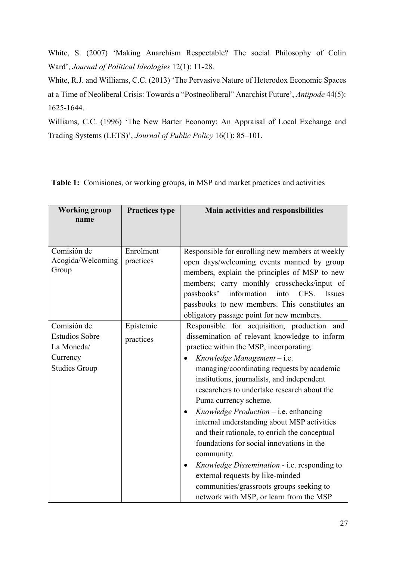White, S. (2007) 'Making Anarchism Respectable? The social Philosophy of Colin Ward', *Journal of Political Ideologies* 12(1): 11-28.

White, R.J. and Williams, C.C. (2013) 'The Pervasive Nature of Heterodox Economic Spaces at a Time of Neoliberal Crisis: Towards a "Postneoliberal" Anarchist Future', *Antipode* 44(5): 1625-1644.

Williams, C.C. (1996) 'The New Barter Economy: An Appraisal of Local Exchange and Trading Systems (LETS)', *Journal of Public Policy* 16(1): 85–101.

| <b>Working group</b><br>name                                                           | <b>Practices type</b>  | Main activities and responsibilities                                                                                                                                                                                                                                                                                                                                                                                                                                                                                                                                                                                                                                                                                                                          |
|----------------------------------------------------------------------------------------|------------------------|---------------------------------------------------------------------------------------------------------------------------------------------------------------------------------------------------------------------------------------------------------------------------------------------------------------------------------------------------------------------------------------------------------------------------------------------------------------------------------------------------------------------------------------------------------------------------------------------------------------------------------------------------------------------------------------------------------------------------------------------------------------|
| Comisión de<br>Acogida/Welcoming<br>Group                                              | Enrolment<br>practices | Responsible for enrolling new members at weekly<br>open days/welcoming events manned by group<br>members, explain the principles of MSP to new<br>members; carry monthly crosschecks/input of<br>information<br>passbooks'<br>CES.<br>into<br>Issues<br>passbooks to new members. This constitutes an<br>obligatory passage point for new members.                                                                                                                                                                                                                                                                                                                                                                                                            |
| Comisión de<br><b>Estudios Sobre</b><br>La Moneda/<br>Currency<br><b>Studies Group</b> | Epistemic<br>practices | Responsible for acquisition, production and<br>dissemination of relevant knowledge to inform<br>practice within the MSP, incorporating:<br>Knowledge Management $-$ i.e.<br>managing/coordinating requests by academic<br>institutions, journalists, and independent<br>researchers to undertake research about the<br>Puma currency scheme.<br>$Knowledge \, Production - i.e. \, enhancing$<br>$\bullet$<br>internal understanding about MSP activities<br>and their rationale, to enrich the conceptual<br>foundations for social innovations in the<br>community.<br>Knowledge Dissemination - i.e. responding to<br>$\bullet$<br>external requests by like-minded<br>communities/grassroots groups seeking to<br>network with MSP, or learn from the MSP |

**Table 1:** Comisiones, or working groups, in MSP and market practices and activities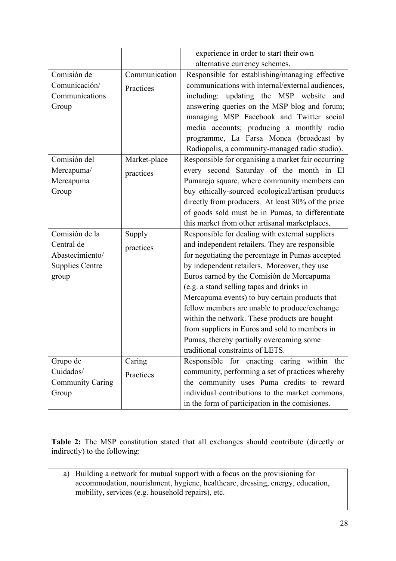|                         |               | experience in order to start their own             |
|-------------------------|---------------|----------------------------------------------------|
|                         |               | alternative currency schemes.                      |
| Comisión de             |               |                                                    |
|                         | Communication | Responsible for establishing/managing effective    |
| Comunicación/           | Practices     | communications with internal/external audiences,   |
| Communications          |               | including: updating the MSP website<br>and         |
| Group                   |               | answering queries on the MSP blog and forum;       |
|                         |               | managing MSP Facebook and Twitter social           |
|                         |               | media accounts; producing a monthly radio          |
|                         |               | programme, La Farsa Monea (broadcast by            |
|                         |               | Radiopolis, a community-managed radio studio).     |
| Comisión del            | Market-place  | Responsible for organising a market fair occurring |
| Mercapuma/              | practices     | every second Saturday of the month in El           |
| Mercapuma               |               | Pumarejo square, where community members can       |
| Group                   |               | buy ethically-sourced ecological/artisan products  |
|                         |               | directly from producers. At least 30% of the price |
|                         |               | of goods sold must be in Pumas, to differentiate   |
|                         |               | this market from other artisanal marketplaces.     |
| Comisión de la          | Supply        | Responsible for dealing with external suppliers    |
| Central de              | practices     | and independent retailers. They are responsible    |
| Abastecimiento/         |               | for negotiating the percentage in Pumas accepted   |
| <b>Supplies Centre</b>  |               | by independent retailers. Moreover, they use       |
| group                   |               | Euros earned by the Comisión de Mercapuma          |
|                         |               | (e.g. a stand selling tapas and drinks in          |
|                         |               | Mercapuma events) to buy certain products that     |
|                         |               | fellow members are unable to produce/exchange      |
|                         |               | within the network. These products are bought      |
|                         |               | from suppliers in Euros and sold to members in     |
|                         |               | Pumas, thereby partially overcoming some           |
|                         |               | traditional constraints of LETS.                   |
| Grupo de                | Caring        | Responsible for enacting caring within the         |
| Cuidados/               | Practices     | community, performing a set of practices whereby   |
| <b>Community Caring</b> |               | the community uses Puma credits to reward          |
| Group                   |               | individual contributions to the market commons,    |
|                         |               | in the form of participation in the comisiones.    |

**Table 2:** The MSP constitution stated that all exchanges should contribute (directly or indirectly) to the following:

a) Building a network for mutual support with a focus on the provisioning for accommodation, nourishment, hygiene, healthcare, dressing, energy, education, mobility, services (e.g. household repairs), etc.